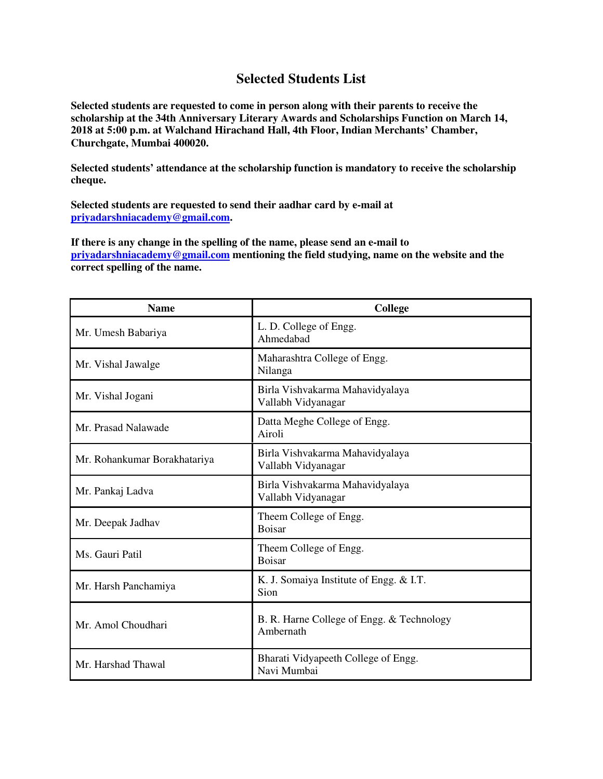## **Selected Students List**

**Selected students are requested to come in person along with their parents to receive the scholarship at the 34th Anniversary Literary Awards and Scholarships Function on March 14, 2018 at 5:00 p.m. at Walchand Hirachand Hall, 4th Floor, Indian Merchants' Chamber, Churchgate, Mumbai 400020.** 

**Selected students' attendance at the scholarship function is mandatory to receive the scholarship cheque.** 

**Selected students are requested to send their aadhar card by e-mail at priyadarshniacademy@gmail.com.** 

**If there is any change in the spelling of the name, please send an e-mail to priyadarshniacademy@gmail.com mentioning the field studying, name on the website and the correct spelling of the name.** 

| <b>Name</b>                  | <b>College</b>                                         |
|------------------------------|--------------------------------------------------------|
| Mr. Umesh Babariya           | L. D. College of Engg.<br>Ahmedabad                    |
| Mr. Vishal Jawalge           | Maharashtra College of Engg.<br>Nilanga                |
| Mr. Vishal Jogani            | Birla Vishvakarma Mahavidyalaya<br>Vallabh Vidyanagar  |
| Mr. Prasad Nalawade          | Datta Meghe College of Engg.<br>Airoli                 |
| Mr. Rohankumar Borakhatariya | Birla Vishvakarma Mahavidyalaya<br>Vallabh Vidyanagar  |
| Mr. Pankaj Ladva             | Birla Vishvakarma Mahavidyalaya<br>Vallabh Vidyanagar  |
| Mr. Deepak Jadhav            | Theem College of Engg.<br><b>Boisar</b>                |
| Ms. Gauri Patil              | Theem College of Engg.<br><b>Boisar</b>                |
| Mr. Harsh Panchamiya         | K. J. Somaiya Institute of Engg. & I.T.<br>Sion        |
| Mr. Amol Choudhari           | B. R. Harne College of Engg. & Technology<br>Ambernath |
| Mr. Harshad Thawal           | Bharati Vidyapeeth College of Engg.<br>Navi Mumbai     |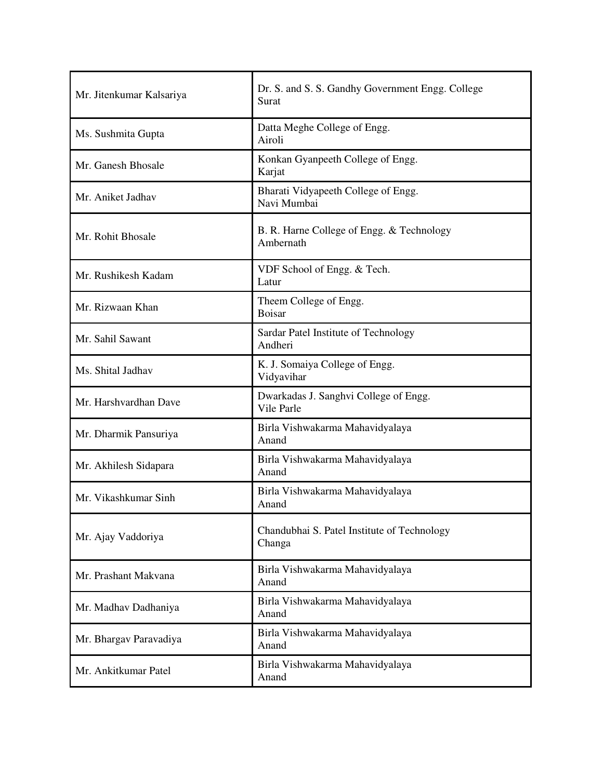| Mr. Jitenkumar Kalsariya | Dr. S. and S. S. Gandhy Government Engg. College<br>Surat |
|--------------------------|-----------------------------------------------------------|
| Ms. Sushmita Gupta       | Datta Meghe College of Engg.<br>Airoli                    |
| Mr. Ganesh Bhosale       | Konkan Gyanpeeth College of Engg.<br>Karjat               |
| Mr. Aniket Jadhav        | Bharati Vidyapeeth College of Engg.<br>Navi Mumbai        |
| Mr. Rohit Bhosale        | B. R. Harne College of Engg. & Technology<br>Ambernath    |
| Mr. Rushikesh Kadam      | VDF School of Engg. & Tech.<br>Latur                      |
| Mr. Rizwaan Khan         | Theem College of Engg.<br><b>Boisar</b>                   |
| Mr. Sahil Sawant         | Sardar Patel Institute of Technology<br>Andheri           |
| Ms. Shital Jadhav        | K. J. Somaiya College of Engg.<br>Vidyavihar              |
| Mr. Harshvardhan Dave    | Dwarkadas J. Sanghvi College of Engg.<br>Vile Parle       |
| Mr. Dharmik Pansuriya    | Birla Vishwakarma Mahavidyalaya<br>Anand                  |
| Mr. Akhilesh Sidapara    | Birla Vishwakarma Mahavidyalaya<br>Anand                  |
| Mr. Vikashkumar Sinh     | Birla Vishwakarma Mahavidyalaya<br>Anand                  |
| Mr. Ajay Vaddoriya       | Chandubhai S. Patel Institute of Technology<br>Changa     |
| Mr. Prashant Makvana     | Birla Vishwakarma Mahavidyalaya<br>Anand                  |
| Mr. Madhav Dadhaniya     | Birla Vishwakarma Mahavidyalaya<br>Anand                  |
| Mr. Bhargav Paravadiya   | Birla Vishwakarma Mahavidyalaya<br>Anand                  |
| Mr. Ankitkumar Patel     | Birla Vishwakarma Mahavidyalaya<br>Anand                  |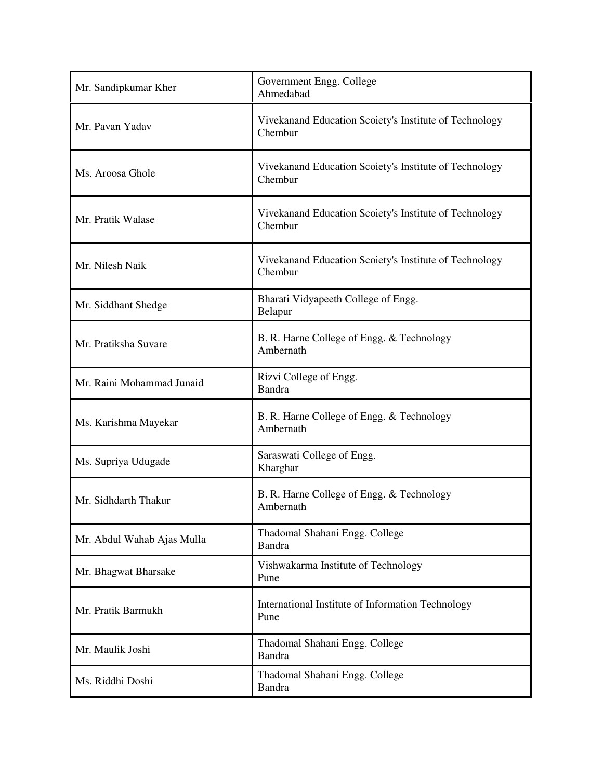| Mr. Sandipkumar Kher       | Government Engg. College<br>Ahmedabad                             |
|----------------------------|-------------------------------------------------------------------|
| Mr. Pavan Yadav            | Vivekanand Education Scoiety's Institute of Technology<br>Chembur |
| Ms. Aroosa Ghole           | Vivekanand Education Scoiety's Institute of Technology<br>Chembur |
| Mr. Pratik Walase          | Vivekanand Education Scoiety's Institute of Technology<br>Chembur |
| Mr. Nilesh Naik            | Vivekanand Education Scoiety's Institute of Technology<br>Chembur |
| Mr. Siddhant Shedge        | Bharati Vidyapeeth College of Engg.<br>Belapur                    |
| Mr. Pratiksha Suvare       | B. R. Harne College of Engg. & Technology<br>Ambernath            |
| Mr. Raini Mohammad Junaid  | Rizvi College of Engg.<br>Bandra                                  |
| Ms. Karishma Mayekar       | B. R. Harne College of Engg. & Technology<br>Ambernath            |
| Ms. Supriya Udugade        | Saraswati College of Engg.<br>Kharghar                            |
| Mr. Sidhdarth Thakur       | B. R. Harne College of Engg. & Technology<br>Ambernath            |
| Mr. Abdul Wahab Ajas Mulla | Thadomal Shahani Engg. College<br><b>Bandra</b>                   |
| Mr. Bhagwat Bharsake       | Vishwakarma Institute of Technology<br>Pune                       |
| Mr. Pratik Barmukh         | International Institute of Information Technology<br>Pune         |
| Mr. Maulik Joshi           | Thadomal Shahani Engg. College<br><b>Bandra</b>                   |
| Ms. Riddhi Doshi           | Thadomal Shahani Engg. College<br><b>Bandra</b>                   |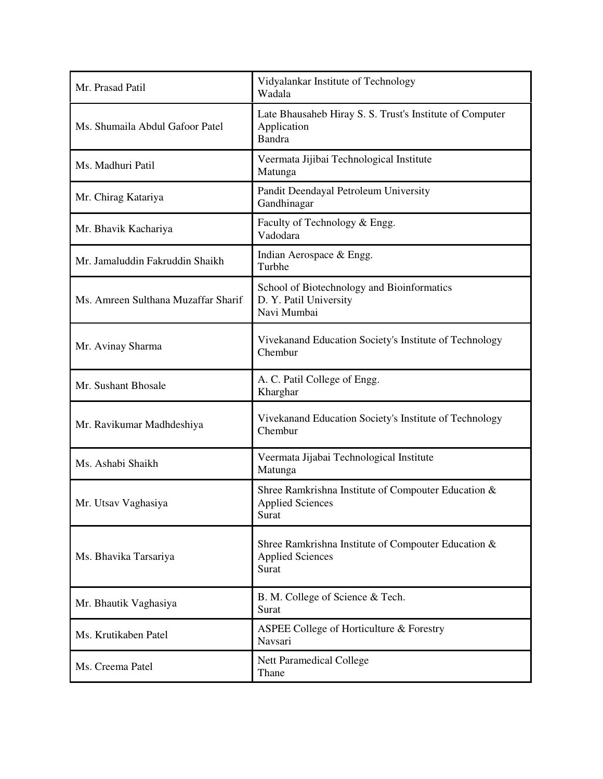| Mr. Prasad Patil                    | Vidyalankar Institute of Technology<br>Wadala                                            |
|-------------------------------------|------------------------------------------------------------------------------------------|
| Ms. Shumaila Abdul Gafoor Patel     | Late Bhausaheb Hiray S. S. Trust's Institute of Computer<br>Application<br><b>Bandra</b> |
| Ms. Madhuri Patil                   | Veermata Jijibai Technological Institute<br>Matunga                                      |
| Mr. Chirag Katariya                 | Pandit Deendayal Petroleum University<br>Gandhinagar                                     |
| Mr. Bhavik Kachariya                | Faculty of Technology & Engg.<br>Vadodara                                                |
| Mr. Jamaluddin Fakruddin Shaikh     | Indian Aerospace & Engg.<br>Turbhe                                                       |
| Ms. Amreen Sulthana Muzaffar Sharif | School of Biotechnology and Bioinformatics<br>D. Y. Patil University<br>Navi Mumbai      |
| Mr. Avinay Sharma                   | Vivekanand Education Society's Institute of Technology<br>Chembur                        |
| Mr. Sushant Bhosale                 | A. C. Patil College of Engg.<br>Kharghar                                                 |
| Mr. Ravikumar Madhdeshiya           | Vivekanand Education Society's Institute of Technology<br>Chembur                        |
| Ms. Ashabi Shaikh                   | Veermata Jijabai Technological Institute<br>Matunga                                      |
| Mr. Utsav Vaghasiya                 | Shree Ramkrishna Institute of Compouter Education &<br><b>Applied Sciences</b><br>Surat  |
| Ms. Bhavika Tarsariya               | Shree Ramkrishna Institute of Compouter Education &<br><b>Applied Sciences</b><br>Surat  |
| Mr. Bhautik Vaghasiya               | B. M. College of Science & Tech.<br>Surat                                                |
| Ms. Krutikaben Patel                | ASPEE College of Horticulture & Forestry<br>Navsari                                      |
| Ms. Creema Patel                    | <b>Nett Paramedical College</b><br>Thane                                                 |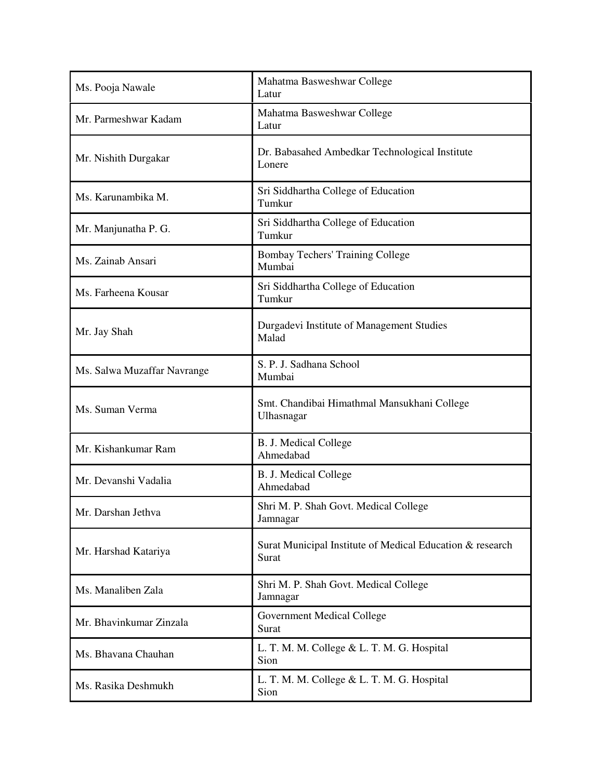| Ms. Pooja Nawale            | Mahatma Basweshwar College<br>Latur                                |
|-----------------------------|--------------------------------------------------------------------|
| Mr. Parmeshwar Kadam        | Mahatma Basweshwar College<br>Latur                                |
| Mr. Nishith Durgakar        | Dr. Babasahed Ambedkar Technological Institute<br>Lonere           |
| Ms. Karunambika M.          | Sri Siddhartha College of Education<br>Tumkur                      |
| Mr. Manjunatha P. G.        | Sri Siddhartha College of Education<br>Tumkur                      |
| Ms. Zainab Ansari           | <b>Bombay Techers' Training College</b><br>Mumbai                  |
| Ms. Farheena Kousar         | Sri Siddhartha College of Education<br>Tumkur                      |
| Mr. Jay Shah                | Durgadevi Institute of Management Studies<br>Malad                 |
| Ms. Salwa Muzaffar Navrange | S. P. J. Sadhana School<br>Mumbai                                  |
| Ms. Suman Verma             | Smt. Chandibai Himathmal Mansukhani College<br>Ulhasnagar          |
| Mr. Kishankumar Ram         | <b>B. J. Medical College</b><br>Ahmedabad                          |
| Mr. Devanshi Vadalia        | B. J. Medical College<br>Ahmedabad                                 |
| Mr. Darshan Jethva          | Shri M. P. Shah Govt. Medical College<br>Jamnagar                  |
| Mr. Harshad Katariya        | Surat Municipal Institute of Medical Education & research<br>Surat |
| Ms. Manaliben Zala          | Shri M. P. Shah Govt. Medical College<br>Jamnagar                  |
| Mr. Bhavinkumar Zinzala     | <b>Government Medical College</b><br>Surat                         |
| Ms. Bhavana Chauhan         | L. T. M. M. College & L. T. M. G. Hospital<br>Sion                 |
| Ms. Rasika Deshmukh         | L. T. M. M. College & L. T. M. G. Hospital<br>Sion                 |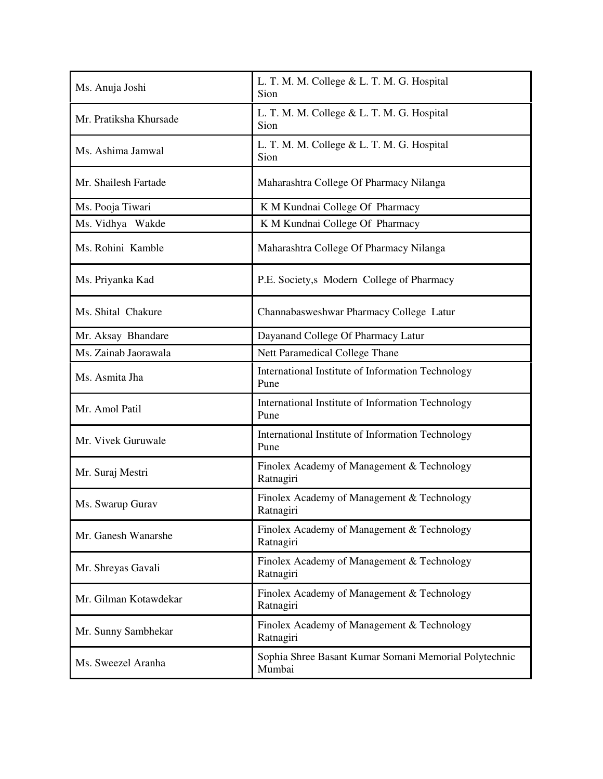| Ms. Anuja Joshi        | L. T. M. M. College & L. T. M. G. Hospital<br>Sion              |
|------------------------|-----------------------------------------------------------------|
| Mr. Pratiksha Khursade | L. T. M. M. College & L. T. M. G. Hospital<br>Sion              |
| Ms. Ashima Jamwal      | L. T. M. M. College & L. T. M. G. Hospital<br>Sion              |
| Mr. Shailesh Fartade   | Maharashtra College Of Pharmacy Nilanga                         |
| Ms. Pooja Tiwari       | K M Kundnai College Of Pharmacy                                 |
| Ms. Vidhya Wakde       | K M Kundnai College Of Pharmacy                                 |
| Ms. Rohini Kamble      | Maharashtra College Of Pharmacy Nilanga                         |
| Ms. Priyanka Kad       | P.E. Society, s Modern College of Pharmacy                      |
| Ms. Shital Chakure     | Channabasweshwar Pharmacy College Latur                         |
| Mr. Aksay Bhandare     | Dayanand College Of Pharmacy Latur                              |
| Ms. Zainab Jaorawala   | Nett Paramedical College Thane                                  |
| Ms. Asmita Jha         | International Institute of Information Technology<br>Pune       |
| Mr. Amol Patil         | International Institute of Information Technology<br>Pune       |
| Mr. Vivek Guruwale     | International Institute of Information Technology<br>Pune       |
| Mr. Suraj Mestri       | Finolex Academy of Management & Technology<br>Ratnagiri         |
| Ms. Swarup Gurav       | Finolex Academy of Management & Technology<br>Ratnagiri         |
| Mr. Ganesh Wanarshe    | Finolex Academy of Management & Technology<br>Ratnagiri         |
| Mr. Shreyas Gavali     | Finolex Academy of Management & Technology<br>Ratnagiri         |
| Mr. Gilman Kotawdekar  | Finolex Academy of Management & Technology<br>Ratnagiri         |
| Mr. Sunny Sambhekar    | Finolex Academy of Management & Technology<br>Ratnagiri         |
| Ms. Sweezel Aranha     | Sophia Shree Basant Kumar Somani Memorial Polytechnic<br>Mumbai |